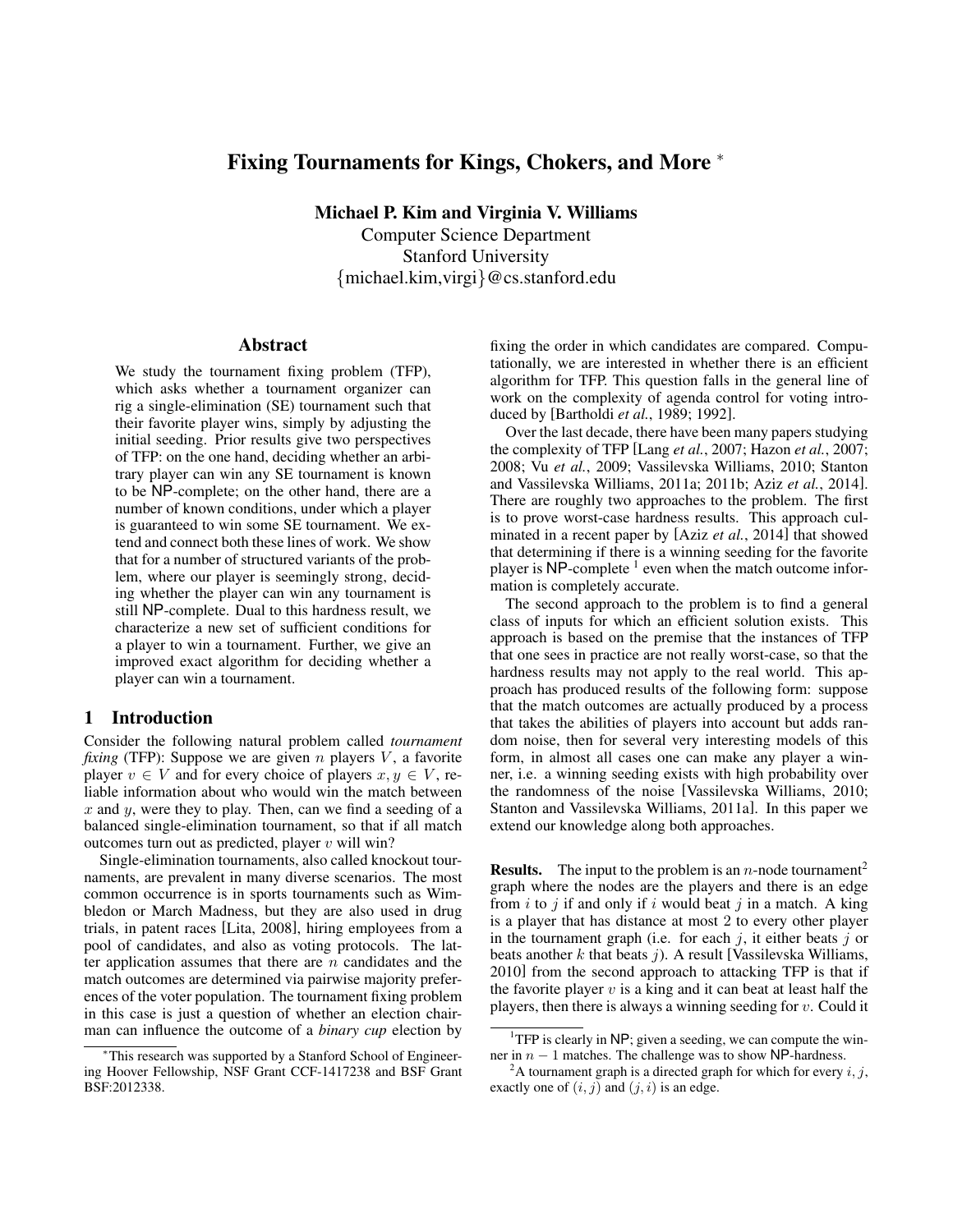# Fixing Tournaments for Kings, Chokers, and More <sup>∗</sup>

Michael P. Kim and Virginia V. Williams Computer Science Department Stanford University {michael.kim,virgi}@cs.stanford.edu

## Abstract

We study the tournament fixing problem (TFP), which asks whether a tournament organizer can rig a single-elimination (SE) tournament such that their favorite player wins, simply by adjusting the initial seeding. Prior results give two perspectives of TFP: on the one hand, deciding whether an arbitrary player can win any SE tournament is known to be NP-complete; on the other hand, there are a number of known conditions, under which a player is guaranteed to win some SE tournament. We extend and connect both these lines of work. We show that for a number of structured variants of the problem, where our player is seemingly strong, deciding whether the player can win any tournament is still NP-complete. Dual to this hardness result, we characterize a new set of sufficient conditions for a player to win a tournament. Further, we give an improved exact algorithm for deciding whether a player can win a tournament.

## 1 Introduction

Consider the following natural problem called *tournament fixing* (TFP): Suppose we are given  $n$  players  $V$ , a favorite player  $v \in V$  and for every choice of players  $x, y \in V$ , reliable information about who would win the match between  $x$  and  $y$ , were they to play. Then, can we find a seeding of a balanced single-elimination tournament, so that if all match outcomes turn out as predicted, player  $v$  will win?

Single-elimination tournaments, also called knockout tournaments, are prevalent in many diverse scenarios. The most common occurrence is in sports tournaments such as Wimbledon or March Madness, but they are also used in drug trials, in patent races [Lita, 2008], hiring employees from a pool of candidates, and also as voting protocols. The latter application assumes that there are  $n$  candidates and the match outcomes are determined via pairwise majority preferences of the voter population. The tournament fixing problem in this case is just a question of whether an election chairman can influence the outcome of a *binary cup* election by fixing the order in which candidates are compared. Computationally, we are interested in whether there is an efficient algorithm for TFP. This question falls in the general line of work on the complexity of agenda control for voting introduced by [Bartholdi *et al.*, 1989; 1992].

Over the last decade, there have been many papers studying the complexity of TFP [Lang *et al.*, 2007; Hazon *et al.*, 2007; 2008; Vu *et al.*, 2009; Vassilevska Williams, 2010; Stanton and Vassilevska Williams, 2011a; 2011b; Aziz *et al.*, 2014]. There are roughly two approaches to the problem. The first is to prove worst-case hardness results. This approach culminated in a recent paper by [Aziz *et al.*, 2014] that showed that determining if there is a winning seeding for the favorite player is NP-complete<sup>1</sup> even when the match outcome information is completely accurate.

The second approach to the problem is to find a general class of inputs for which an efficient solution exists. This approach is based on the premise that the instances of TFP that one sees in practice are not really worst-case, so that the hardness results may not apply to the real world. This approach has produced results of the following form: suppose that the match outcomes are actually produced by a process that takes the abilities of players into account but adds random noise, then for several very interesting models of this form, in almost all cases one can make any player a winner, i.e. a winning seeding exists with high probability over the randomness of the noise [Vassilevska Williams, 2010; Stanton and Vassilevska Williams, 2011a]. In this paper we extend our knowledge along both approaches.

**Results.** The input to the problem is an *n*-node tournament<sup>2</sup> graph where the nodes are the players and there is an edge from  $i$  to  $j$  if and only if  $i$  would beat  $j$  in a match. A king is a player that has distance at most 2 to every other player in the tournament graph (i.e. for each  $j$ , it either beats  $j$  or beats another  $k$  that beats  $j$ ). A result [Vassilevska Williams, 2010] from the second approach to attacking TFP is that if the favorite player  $v$  is a king and it can beat at least half the players, then there is always a winning seeding for  $v$ . Could it

<sup>∗</sup>This research was supported by a Stanford School of Engineering Hoover Fellowship, NSF Grant CCF-1417238 and BSF Grant BSF:2012338.

<sup>&</sup>lt;sup>1</sup>TFP is clearly in NP; given a seeding, we can compute the winner in  $n - 1$  matches. The challenge was to show NP-hardness.

<sup>&</sup>lt;sup>2</sup>A tournament graph is a directed graph for which for every  $i, j$ , exactly one of  $(i, j)$  and  $(j, i)$  is an edge.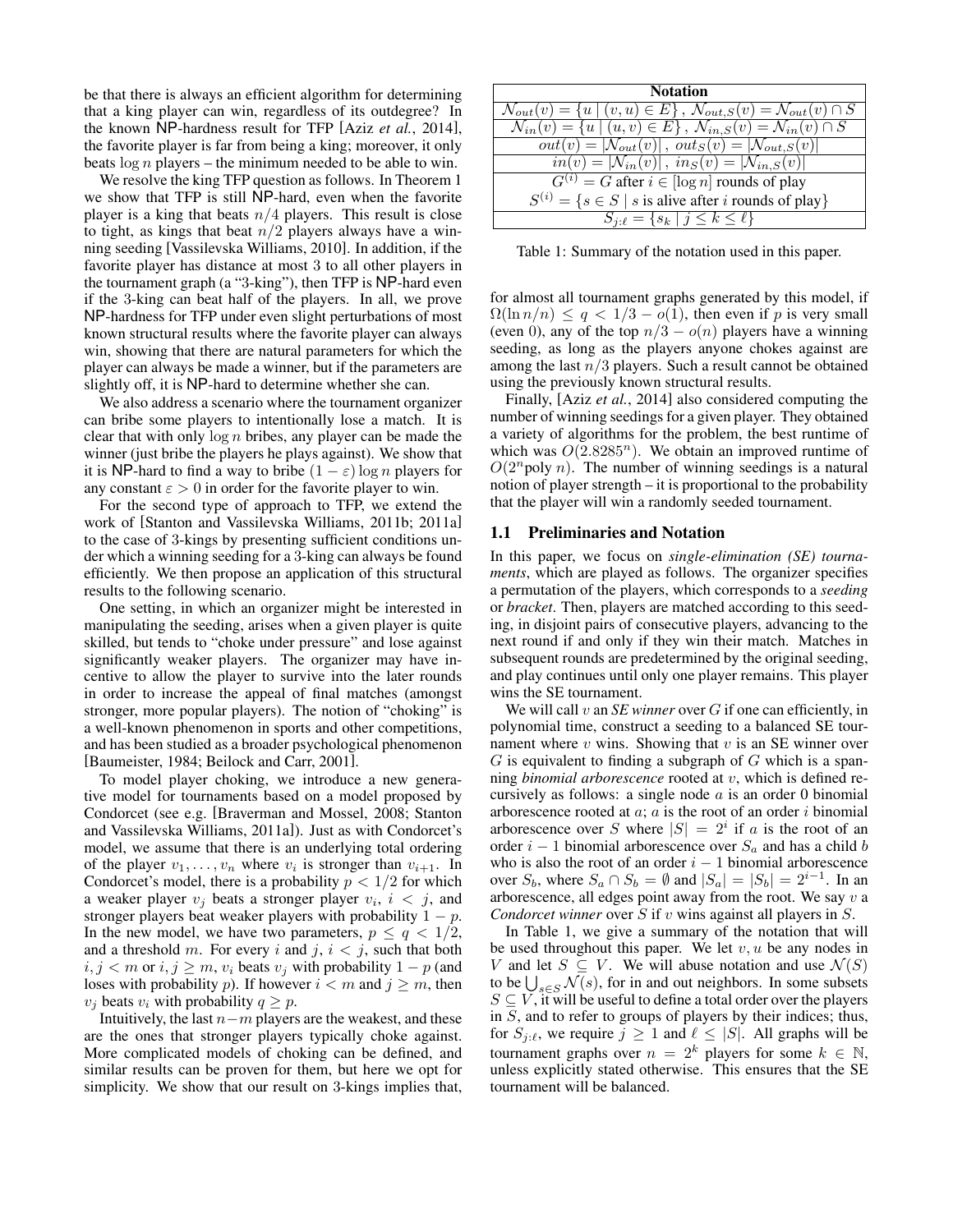be that there is always an efficient algorithm for determining that a king player can win, regardless of its outdegree? In the known NP-hardness result for TFP [Aziz *et al.*, 2014], the favorite player is far from being a king; moreover, it only beats  $\log n$  players – the minimum needed to be able to win.

We resolve the king TFP question as follows. In Theorem 1 we show that TFP is still NP-hard, even when the favorite player is a king that beats  $n/4$  players. This result is close to tight, as kings that beat  $n/2$  players always have a winning seeding [Vassilevska Williams, 2010]. In addition, if the favorite player has distance at most 3 to all other players in the tournament graph (a "3-king"), then TFP is NP-hard even if the 3-king can beat half of the players. In all, we prove NP-hardness for TFP under even slight perturbations of most known structural results where the favorite player can always win, showing that there are natural parameters for which the player can always be made a winner, but if the parameters are slightly off, it is NP-hard to determine whether she can.

We also address a scenario where the tournament organizer can bribe some players to intentionally lose a match. It is clear that with only  $\log n$  bribes, any player can be made the winner (just bribe the players he plays against). We show that it is NP-hard to find a way to bribe  $(1 - \varepsilon) \log n$  players for any constant  $\varepsilon > 0$  in order for the favorite player to win.

For the second type of approach to TFP, we extend the work of [Stanton and Vassilevska Williams, 2011b; 2011a] to the case of 3-kings by presenting sufficient conditions under which a winning seeding for a 3-king can always be found efficiently. We then propose an application of this structural results to the following scenario.

One setting, in which an organizer might be interested in manipulating the seeding, arises when a given player is quite skilled, but tends to "choke under pressure" and lose against significantly weaker players. The organizer may have incentive to allow the player to survive into the later rounds in order to increase the appeal of final matches (amongst stronger, more popular players). The notion of "choking" is a well-known phenomenon in sports and other competitions, and has been studied as a broader psychological phenomenon [Baumeister, 1984; Beilock and Carr, 2001].

To model player choking, we introduce a new generative model for tournaments based on a model proposed by Condorcet (see e.g. [Braverman and Mossel, 2008; Stanton and Vassilevska Williams, 2011a]). Just as with Condorcet's model, we assume that there is an underlying total ordering of the player  $v_1, \ldots, v_n$  where  $v_i$  is stronger than  $v_{i+1}$ . In Condorcet's model, there is a probability  $p < 1/2$  for which a weaker player  $v_j$  beats a stronger player  $v_i$ ,  $i < j$ , and stronger players beat weaker players with probability  $1 - p$ . In the new model, we have two parameters,  $p \le q < 1/2$ , and a threshold m. For every i and j,  $i < j$ , such that both  $i, j < m$  or  $i, j \ge m$ ,  $v_i$  beats  $v_j$  with probability  $1 - p$  (and loses with probability p). If however  $i < m$  and  $j \ge m$ , then  $v_i$  beats  $v_i$  with probability  $q \geq p$ .

Intuitively, the last  $n-m$  players are the weakest, and these are the ones that stronger players typically choke against. More complicated models of choking can be defined, and similar results can be proven for them, but here we opt for simplicity. We show that our result on 3-kings implies that,

| <b>Notation</b>                                                                                                                         |
|-----------------------------------------------------------------------------------------------------------------------------------------|
| $\mathcal{N}_{out}(v) = \{u \mid (v, u) \in E\}, \ \mathcal{N}_{out, S}(v) = \mathcal{N}_{out}(v) \cap S$                               |
| $\overline{\mathcal{N}_{in}(v)} = \{u \mid (u, v) \in E\}, \ \overline{\mathcal{N}_{in, S}(v)} = \overline{\mathcal{N}_{in}(v) \cap S}$ |
| $out(v) =  \mathcal{N}_{out}(v) $ , $out_S(v) =  \mathcal{N}_{out,S}(v) $                                                               |
| $\overline{in(v)} =  \mathcal{N}_{in}(v) $ , $\overline{in_S(v)} =  \mathcal{N}_{in,S}(v) $                                             |
| $G^{(i)} = G$ after $i \in [\log n]$ rounds of play                                                                                     |
| $S^{(i)} = \{s \in S \mid s \text{ is alive after } i \text{ rounds of play}\}\$                                                        |
| $S_{j:\ell} = \{s_k \mid j \leq k \leq \ell\}$                                                                                          |

Table 1: Summary of the notation used in this paper.

for almost all tournament graphs generated by this model, if  $\Omega(\ln n/n) \leq q < 1/3 - o(1)$ , then even if p is very small (even 0), any of the top  $n/3 - o(n)$  players have a winning seeding, as long as the players anyone chokes against are among the last  $n/3$  players. Such a result cannot be obtained using the previously known structural results.

Finally, [Aziz *et al.*, 2014] also considered computing the number of winning seedings for a given player. They obtained a variety of algorithms for the problem, the best runtime of which was  $O(2.8285^n)$ . We obtain an improved runtime of  $O(2^n)$  poly n). The number of winning seedings is a natural notion of player strength – it is proportional to the probability that the player will win a randomly seeded tournament.

### 1.1 Preliminaries and Notation

In this paper, we focus on *single-elimination (SE) tournaments*, which are played as follows. The organizer specifies a permutation of the players, which corresponds to a *seeding* or *bracket*. Then, players are matched according to this seeding, in disjoint pairs of consecutive players, advancing to the next round if and only if they win their match. Matches in subsequent rounds are predetermined by the original seeding, and play continues until only one player remains. This player wins the SE tournament.

We will call v an *SE winner* over G if one can efficiently, in polynomial time, construct a seeding to a balanced SE tournament where  $v$  wins. Showing that  $v$  is an SE winner over  $G$  is equivalent to finding a subgraph of  $G$  which is a spanning *binomial arborescence* rooted at v, which is defined recursively as follows: a single node  $a$  is an order 0 binomial arborescence rooted at  $a$ ;  $a$  is the root of an order  $i$  binomial arborescence over S where  $|S| = 2^i$  if a is the root of an order  $i - 1$  binomial arborescence over  $S_a$  and has a child b who is also the root of an order  $i - 1$  binomial arborescence over  $S_b$ , where  $S_a \cap S_b = \emptyset$  and  $|S_a| = |S_b| = 2^{i-1}$ . In an arborescence, all edges point away from the root. We say  $v$  a *Condorcet winner* over S if v wins against all players in S.

In Table 1, we give a summary of the notation that will be used throughout this paper. We let  $v, u$  be any nodes in V and let  $S \subseteq V$ . We will abuse notation and use  $\mathcal{N}(S)$ to be  $\bigcup_{s \in S} \mathcal{N}(s)$ , for in and out neighbors. In some subsets  $S \subseteq V$ , it will be useful to define a total order over the players in S, and to refer to groups of players by their indices; thus, for  $S_{j:\ell}$ , we require  $j \ge 1$  and  $\ell \le |S|$ . All graphs will be tournament graphs over  $n = 2^k$  players for some  $k \in \mathbb{N}$ , unless explicitly stated otherwise. This ensures that the SE tournament will be balanced.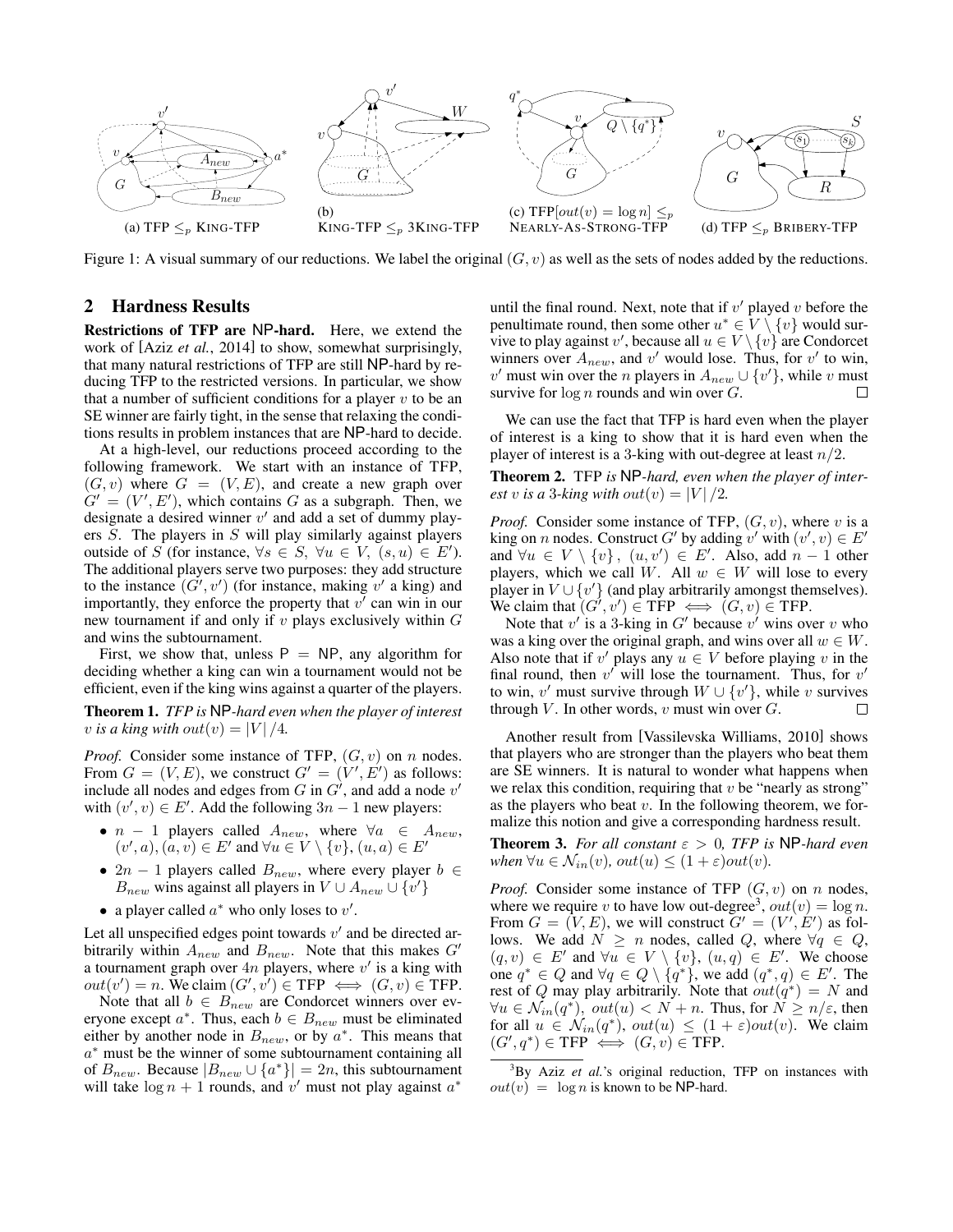

Figure 1: A visual summary of our reductions. We label the original  $(G, v)$  as well as the sets of nodes added by the reductions.

## 2 Hardness Results

Restrictions of TFP are NP-hard. Here, we extend the work of [Aziz *et al.*, 2014] to show, somewhat surprisingly, that many natural restrictions of TFP are still NP-hard by reducing TFP to the restricted versions. In particular, we show that a number of sufficient conditions for a player  $v$  to be an SE winner are fairly tight, in the sense that relaxing the conditions results in problem instances that are NP-hard to decide.

At a high-level, our reductions proceed according to the following framework. We start with an instance of TFP,  $(G, v)$  where  $G = (V, E)$ , and create a new graph over  $G' = (V', E')$ , which contains G as a subgraph. Then, we designate a desired winner  $v'$  and add a set of dummy players S. The players in S will play similarly against players outside of S (for instance,  $\forall s \in S$ ,  $\forall u \in V$ ,  $(s, u) \in E'$ ). The additional players serve two purposes: they add structure to the instance  $(G', v')$  (for instance, making v' a king) and importantly, they enforce the property that  $v^{\prime}$  can win in our new tournament if and only if  $v$  plays exclusively within  $G$ and wins the subtournament.

First, we show that, unless  $P = NP$ , any algorithm for deciding whether a king can win a tournament would not be efficient, even if the king wins against a quarter of the players.

Theorem 1. *TFP is* NP*-hard even when the player of interest v* is a king with out $(v) = |V|/4$ .

*Proof.* Consider some instance of TFP,  $(G, v)$  on n nodes. From  $G = (V, E)$ , we construct  $G' = (V', E')$  as follows: include all nodes and edges from G in  $G'$ , and add a node  $v'$ with  $(v', v) \in E'$ . Add the following  $3n - 1$  new players:

- $n 1$  players called  $A_{new}$ , where  $\forall a \in A_{new}$ ,  $(v', a), (\alpha, v) \in E'$  and  $\forall u \in V \setminus \{v\}, (u, a) \in E'$
- $2n 1$  players called  $B_{new}$ , where every player  $b \in$  $B_{new}$  wins against all players in  $V \cup A_{new} \cup \{v'\}$
- a player called  $a^*$  who only loses to  $v'$ .

Let all unspecified edges point towards  $v'$  and be directed arbitrarily within  $A_{new}$  and  $B_{new}$ . Note that this makes  $G'$ a tournament graph over  $4n$  players, where  $v'$  is a king with  $out(v') = n$ . We claim  $(G', v') \in \text{TFP} \iff (G, v) \in \text{TFP}$ .

Note that all  $b \in B_{new}$  are Condorcet winners over everyone except  $a^*$ . Thus, each  $b \in B_{new}$  must be eliminated either by another node in  $B_{new}$ , or by  $a^*$ . This means that a <sup>∗</sup> must be the winner of some subtournament containing all of  $B_{new}$ . Because  $|B_{new} \cup \{a^*\}| = 2n$ , this subtournament will take  $\log n + 1$  rounds, and v' must not play against  $a^*$ 

until the final round. Next, note that if  $v'$  played  $v$  before the penultimate round, then some other  $u^* \in V \setminus \{v\}$  would survive to play against v', because all  $u \in V \setminus \{v\}$  are Condorcet winners over  $A_{new}$ , and v' would lose. Thus, for v' to win, v' must win over the n players in  $A_{new} \cup \{v'\}$ , while v must survive for  $\log n$  rounds and win over  $G$ .

We can use the fact that TFP is hard even when the player of interest is a king to show that it is hard even when the player of interest is a 3-king with out-degree at least  $n/2$ .

Theorem 2. TFP *is* NP*-hard, even when the player of interest* v is a 3-king with out $(v) = |V|/2$ .

*Proof.* Consider some instance of TFP,  $(G, v)$ , where v is a king on *n* nodes. Construct G' by adding v' with  $(v', v) \in E'$ and  $\forall u \in V \setminus \{v\}, \ (u, v') \in E'$ . Also, add  $n - 1$  other players, which we call W. All  $w \in W$  will lose to every player in  $V \cup \{v'\}$  (and play arbitrarily amongst themselves). We claim that  $(G', v') \in \text{TFP} \iff (G, v) \in \text{TFP}.$ 

Note that  $v'$  is a 3-king in  $G'$  because  $v'$  wins over  $v$  who was a king over the original graph, and wins over all  $w \in W$ . Also note that if v' plays any  $u \in V$  before playing v in the final round, then  $v'$  will lose the tournament. Thus, for  $v'$ to win, v' must survive through  $W \cup \{v'\}$ , while v survives through  $V$ . In other words,  $v$  must win over  $G$ .

Another result from [Vassilevska Williams, 2010] shows that players who are stronger than the players who beat them are SE winners. It is natural to wonder what happens when we relax this condition, requiring that  $v$  be "nearly as strong" as the players who beat  $v$ . In the following theorem, we formalize this notion and give a corresponding hardness result.

**Theorem 3.** *For all constant*  $\varepsilon > 0$ , *TFP* is NP-hard even *when*  $\forall u \in \mathcal{N}_{in}(v)$ *,*  $out(u) \leq (1+\varepsilon)out(v)$ *.* 

*Proof.* Consider some instance of TFP  $(G, v)$  on n nodes, where we require v to have low out-degree<sup>3</sup>,  $out(v) = \log n$ . From  $G = (V, E)$ , we will construct  $G' = (V', E')$  as follows. We add  $N \ge n$  nodes, called Q, where  $\forall q \in Q$ ,  $(q, v) \in E'$  and  $\forall u \in V \setminus \{v\}$ ,  $(u, q) \in E'$ . We choose one  $q^* \in Q$  and  $\forall q \in Q \setminus \{q^*\}$ , we add  $(q^*, q) \in E'$ . The rest of Q may play arbitrarily. Note that  $out(q^*) = N$  and  $\forall u \in \mathcal{N}_{in}(q^*)$ ,  $out(u) < N + n$ . Thus, for  $N \ge n/\varepsilon$ , then for all  $u \in \mathcal{N}_{in}(q^*)$ ,  $out(u) \leq (1+\varepsilon)out(v)$ . We claim  $(G', q^*) \in \text{TFP} \iff (G, v) \in \text{TFP}.$ 

<sup>&</sup>lt;sup>3</sup>By Aziz *et al.*'s original reduction, TFP on instances with  $out(v) = \log n$  is known to be NP-hard.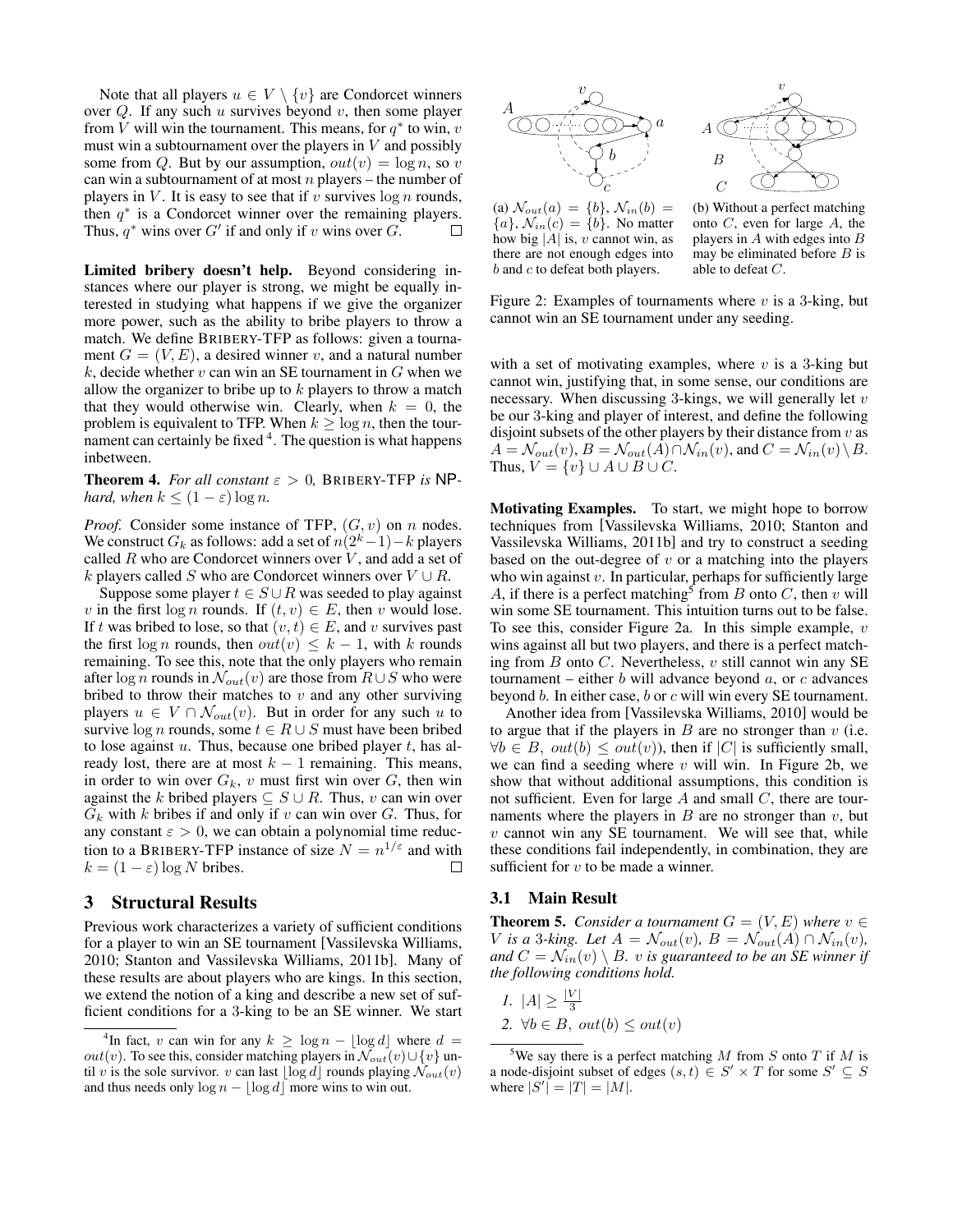Note that all players  $u \in V \setminus \{v\}$  are Condorcet winners over  $Q$ . If any such  $u$  survives beyond  $v$ , then some player from V will win the tournament. This means, for  $q^*$  to win, v must win a subtournament over the players in  $V$  and possibly some from Q. But by our assumption,  $out(v) = log n$ , so v can win a subtournament of at most  $n$  players – the number of players in V. It is easy to see that if v survives  $\log n$  rounds, then  $q^*$  is a Condorcet winner over the remaining players. Thus,  $q^*$  wins over G' if and only if v wins over G.  $\Box$ 

Limited bribery doesn't help. Beyond considering instances where our player is strong, we might be equally interested in studying what happens if we give the organizer more power, such as the ability to bribe players to throw a match. We define BRIBERY-TFP as follows: given a tournament  $G = (V, E)$ , a desired winner v, and a natural number k, decide whether  $v$  can win an SE tournament in  $G$  when we allow the organizer to bribe up to  $k$  players to throw a match that they would otherwise win. Clearly, when  $k = 0$ , the problem is equivalent to TFP. When  $k \geq \log n$ , then the tournament can certainly be fixed <sup>4</sup>. The question is what happens inbetween.

**Theorem 4.** For all constant  $\varepsilon > 0$ , BRIBERY-TFP is NP*hard, when*  $k \leq (1 - \varepsilon) \log n$ .

*Proof.* Consider some instance of TFP,  $(G, v)$  on n nodes. We construct  $G_k$  as follows: add a set of  $n(2^k-1)-k$  players called  $R$  who are Condorcet winners over  $V$ , and add a set of k players called S who are Condorcet winners over  $V \cup R$ .

Suppose some player  $t \in S \cup R$  was seeded to play against v in the first log n rounds. If  $(t, v) \in E$ , then v would lose. If t was bribed to lose, so that  $(v, t) \in E$ , and v survives past the first log n rounds, then  $out(v) \leq k - 1$ , with k rounds remaining. To see this, note that the only players who remain after log *n* rounds in  $\mathcal{N}_{out}(v)$  are those from  $R \cup S$  who were bribed to throw their matches to  $v$  and any other surviving players  $u \in V \cap \mathcal{N}_{out}(v)$ . But in order for any such u to survive log *n* rounds, some  $t \in R \cup S$  must have been bribed to lose against  $u$ . Thus, because one bribed player  $t$ , has already lost, there are at most  $k - 1$  remaining. This means, in order to win over  $G_k$ , v must first win over  $G$ , then win against the k bribed players  $\subseteq S \cup R$ . Thus, v can win over  $G_k$  with k bribes if and only if v can win over G. Thus, for any constant  $\varepsilon > 0$ , we can obtain a polynomial time reduction to a BRIBERY-TFP instance of size  $N = n^{1/\epsilon}$  and with  $k = (1 - \varepsilon) \log N$  bribes.  $\Box$ 

## 3 Structural Results

Previous work characterizes a variety of sufficient conditions for a player to win an SE tournament [Vassilevska Williams, 2010; Stanton and Vassilevska Williams, 2011b]. Many of these results are about players who are kings. In this section, we extend the notion of a king and describe a new set of sufficient conditions for a 3-king to be an SE winner. We start



(a)  $\mathcal{N}_{out}(a) = \{b\}, \, \mathcal{N}_{in}(b) =$  ${a}$ ,  $\mathcal{N}_{in}(c) = \{b\}$ . No matter how big |A| is,  $v$  cannot win, as there are not enough edges into  $b$  and  $c$  to defeat both players.

(b) Without a perfect matching onto C, even for large A, the players in  $A$  with edges into  $B$ may be eliminated before  $B$  is able to defeat C.

Figure 2: Examples of tournaments where  $v$  is a 3-king, but cannot win an SE tournament under any seeding.

with a set of motivating examples, where  $v$  is a 3-king but cannot win, justifying that, in some sense, our conditions are necessary. When discussing 3-kings, we will generally let  $v$ be our 3-king and player of interest, and define the following disjoint subsets of the other players by their distance from  $v$  as  $A = \mathcal{N}_{out}(v), B = \mathcal{N}_{out}(A) \cap \mathcal{N}_{in}(v)$ , and  $C = \mathcal{N}_{in}(v) \setminus B$ . Thus,  $V = \{v\} \cup A \cup B \cup C$ .

Motivating Examples. To start, we might hope to borrow techniques from [Vassilevska Williams, 2010; Stanton and Vassilevska Williams, 2011b] and try to construct a seeding based on the out-degree of  $v$  or a matching into the players who win against  $v$ . In particular, perhaps for sufficiently large A, if there is a perfect matching<sup>5</sup> from B onto C, then v will win some SE tournament. This intuition turns out to be false. To see this, consider Figure 2a. In this simple example,  $v$ wins against all but two players, and there is a perfect matching from  $B$  onto  $C$ . Nevertheless,  $v$  still cannot win any SE tournament – either  $b$  will advance beyond  $a$ , or  $c$  advances beyond b. In either case, b or c will win every SE tournament.

Another idea from [Vassilevska Williams, 2010] would be to argue that if the players in  $B$  are no stronger than  $v$  (i.e.  $\forall b \in B$ ,  $out(b) \le out(v)$ , then if |C| is sufficiently small, we can find a seeding where  $v$  will win. In Figure 2b, we show that without additional assumptions, this condition is not sufficient. Even for large  $A$  and small  $C$ , there are tournaments where the players in  $B$  are no stronger than  $v$ , but  $v$  cannot win any SE tournament. We will see that, while these conditions fail independently, in combination, they are sufficient for  $v$  to be made a winner.

## 3.1 Main Result

**Theorem 5.** *Consider a tournament*  $G = (V, E)$  *where*  $v \in$ V is a 3-king. Let  $A = \mathcal{N}_{out}(v)$ ,  $B = \mathcal{N}_{out}(A) \cap \mathcal{N}_{in}(v)$ , *and*  $C = \mathcal{N}_{in}(v) \setminus B$ *. v is guaranteed to be an SE winner if the following conditions hold.*

1. 
$$
|A| \ge \frac{|V|}{3}
$$
  
2.  $\forall b \in B, \text{ out}(b) \le \text{out}(v)$ 

<sup>5</sup>We say there is a perfect matching M from S onto T if M is a node-disjoint subset of edges  $(s, t) \in S' \times T$  for some  $S' \subseteq S$ where  $|S'| = |T| = |M|$ .

<sup>&</sup>lt;sup>4</sup>In fact, v can win for any  $k \geq \log n - \lfloor \log d \rfloor$  where  $d =$ *out*(v). To see this, consider matching players in  $\mathcal{N}_{out}(v) \cup \{v\}$  until v is the sole survivor. v can last  $\log d$  rounds playing  $\mathcal{N}_{out}(v)$ and thus needs only  $\log n - |\log d|$  more wins to win out.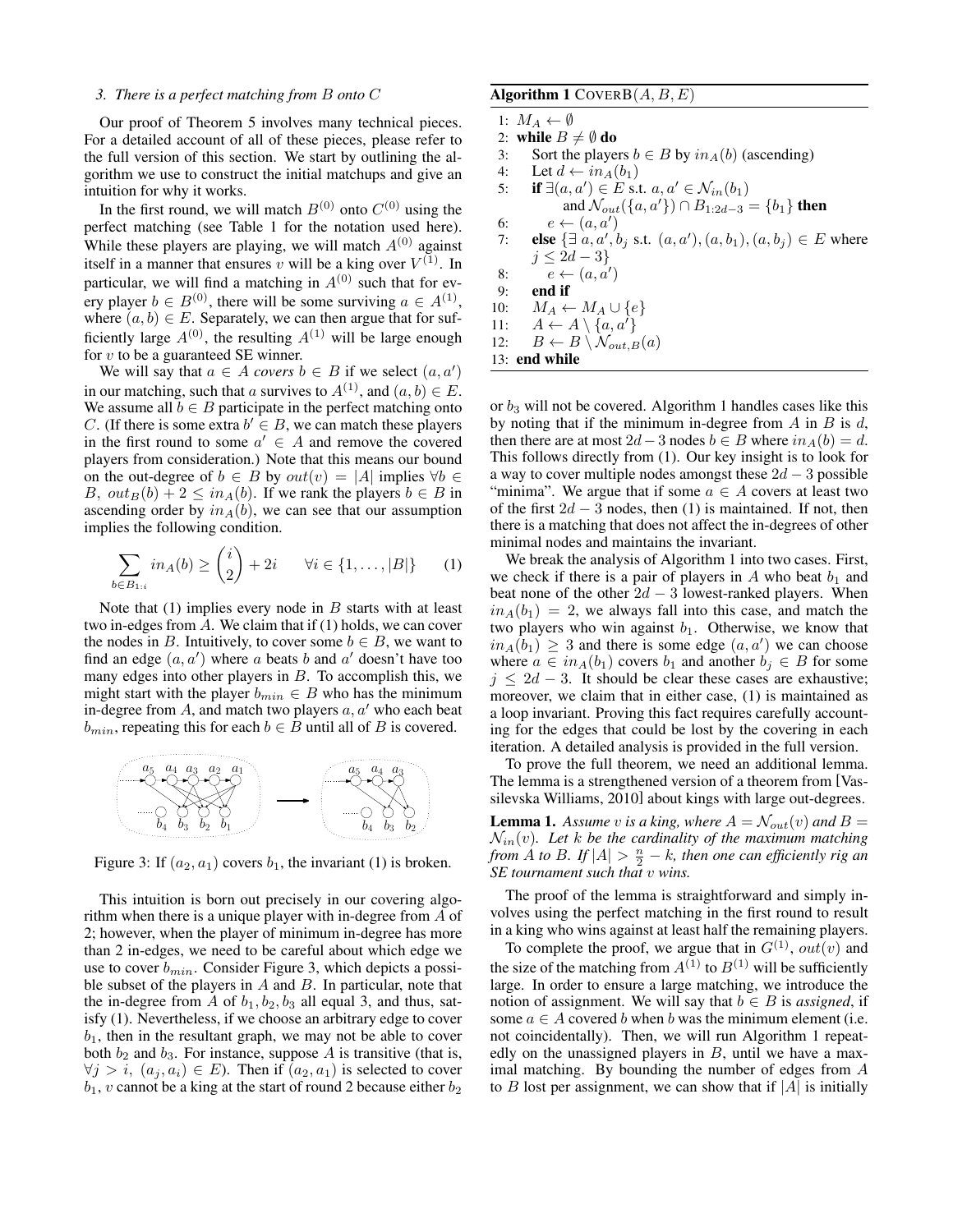#### *3. There is a perfect matching from* B *onto* C

Our proof of Theorem 5 involves many technical pieces. For a detailed account of all of these pieces, please refer to the full version of this section. We start by outlining the algorithm we use to construct the initial matchups and give an intuition for why it works.

In the first round, we will match  $B^{(0)}$  onto  $C^{(0)}$  using the perfect matching (see Table 1 for the notation used here). While these players are playing, we will match  $A^{(0)}$  against itself in a manner that ensures v will be a king over  $V^{(1)}$ . In particular, we will find a matching in  $A^{(0)}$  such that for every player  $b \in B^{(0)}$ , there will be some surviving  $a \in A^{(1)}$ , where  $(a, b) \in E$ . Separately, we can then argue that for sufficiently large  $A^{(0)}$ , the resulting  $A^{(1)}$  will be large enough for  $v$  to be a guaranteed SE winner.

We will say that  $a \in A$  *covers*  $b \in B$  if we select  $(a, a')$ in our matching, such that a survives to  $A^{(1)}$ , and  $(a, b) \in E$ . We assume all  $b \in B$  participate in the perfect matching onto C. (If there is some extra  $b' \in B$ , we can match these players in the first round to some  $a' \in A$  and remove the covered players from consideration.) Note that this means our bound on the out-degree of  $b \in B$  by  $out(v) = |A|$  implies  $\forall b \in \mathcal{C}$ B,  $out_B(b) + 2 \leq in_A(b)$ . If we rank the players  $b \in B$  in ascending order by  $in_A(b)$ , we can see that our assumption implies the following condition.

$$
\sum_{b \in B_{1:i}} in_A(b) \ge \binom{i}{2} + 2i \qquad \forall i \in \{1, \dots, |B|\} \tag{1}
$$

Note that  $(1)$  implies every node in  $B$  starts with at least two in-edges from A. We claim that if (1) holds, we can cover the nodes in B. Intuitively, to cover some  $b \in B$ , we want to find an edge  $(a, a')$  where a beats b and a' doesn't have too many edges into other players in  $B$ . To accomplish this, we might start with the player  $b_{min} \in B$  who has the minimum in-degree from  $A$ , and match two players  $a, a'$  who each beat  $b_{min}$ , repeating this for each  $b \in B$  until all of B is covered.



Figure 3: If  $(a_2, a_1)$  covers  $b_1$ , the invariant (1) is broken.

This intuition is born out precisely in our covering algorithm when there is a unique player with in-degree from A of 2; however, when the player of minimum in-degree has more than 2 in-edges, we need to be careful about which edge we use to cover  $b_{min}$ . Consider Figure 3, which depicts a possible subset of the players in  $A$  and  $B$ . In particular, note that the in-degree from A of  $b_1$ ,  $b_2$ ,  $b_3$  all equal 3, and thus, satisfy (1). Nevertheless, if we choose an arbitrary edge to cover  $b_1$ , then in the resultant graph, we may not be able to cover both  $b_2$  and  $b_3$ . For instance, suppose A is transitive (that is,  $\forall j > i, (a_j, a_i) \in E$ ). Then if  $(a_2, a_1)$  is selected to cover  $b_1$ , v cannot be a king at the start of round 2 because either  $b_2$ 

## Algorithm 1 COVERB $(A, B, E)$

1:  $M_A \leftarrow \emptyset$ 

2: **while**  $B \neq \emptyset$  **do**<br>3: Sort the playe

- 3: Sort the players  $b \in B$  by  $in_A(b)$  (ascending)<br>4: Let  $d \leftarrow in_A(b_1)$
- 4: Let  $d \leftarrow in_A(b_1)$ <br>5: **if**  $\exists (a, a') \in E$  s.
- 5: **if**  $\exists (a, a') \in E$  s.t.  $a, a' \in \mathcal{N}_{in}(b_1)$ and  $\mathcal{N}_{out}(\{a, a'\}) \cap B_{1:2d-3} = \{b_1\}$  then 6:  $e \leftarrow (a, a')$
- 7: **else**  $\{\exists a, a', b_j \text{ s.t. } (a, a'), (a, b_1), (a, b_j) \in E \text{ where }$  $j \leq 2d-3$
- 8:  $e \leftarrow (a, a')$
- 9: end if
- 10:  $M_A \leftarrow M_A \cup \{e\}$ <br>11:  $A \leftarrow A \setminus \{a, a'\}$  $A \leftarrow A \setminus \{a, a'\}$

12: 
$$
B \leftarrow B \setminus \mathcal{N}_{out,B}(a)
$$

13: end while

or  $b_3$  will not be covered. Algorithm 1 handles cases like this by noting that if the minimum in-degree from  $A$  in  $B$  is  $d$ , then there are at most  $2d-3$  nodes  $b \in B$  where  $in_A(b) = d$ . This follows directly from (1). Our key insight is to look for a way to cover multiple nodes amongst these  $2d - 3$  possible "minima". We argue that if some  $a \in A$  covers at least two of the first  $2d - 3$  nodes, then (1) is maintained. If not, then there is a matching that does not affect the in-degrees of other minimal nodes and maintains the invariant.

We break the analysis of Algorithm 1 into two cases. First, we check if there is a pair of players in  $A$  who beat  $b_1$  and beat none of the other  $2d - 3$  lowest-ranked players. When  $in_A(b_1) = 2$ , we always fall into this case, and match the two players who win against  $b_1$ . Otherwise, we know that  $in_A(b_1) \geq 3$  and there is some edge  $(a, a')$  we can choose where  $a \in in_A(b_1)$  covers  $b_1$  and another  $b_i \in B$  for some  $j \leq 2d - 3$ . It should be clear these cases are exhaustive; moreover, we claim that in either case, (1) is maintained as a loop invariant. Proving this fact requires carefully accounting for the edges that could be lost by the covering in each iteration. A detailed analysis is provided in the full version.

To prove the full theorem, we need an additional lemma. The lemma is a strengthened version of a theorem from [Vassilevska Williams, 2010] about kings with large out-degrees.

**Lemma 1.** Assume v is a king, where  $A = \mathcal{N}_{out}(v)$  and  $B =$  $\mathcal{N}_{in}(v)$ *. Let* k be the cardinality of the maximum matching *from*  $\hat{A}$  *to*  $B$ *.* If  $|A| > \frac{n}{2} - k$ *, then one can efficiently rig an SE tournament such that* v *wins.*

The proof of the lemma is straightforward and simply involves using the perfect matching in the first round to result in a king who wins against at least half the remaining players.

To complete the proof, we argue that in  $G^{(1)}$ ,  $out(v)$  and the size of the matching from  $A^{(1)}$  to  $B^{(1)}$  will be sufficiently large. In order to ensure a large matching, we introduce the notion of assignment. We will say that  $b \in B$  is *assigned*, if some  $a \in A$  covered b when b was the minimum element (i.e. not coincidentally). Then, we will run Algorithm 1 repeatedly on the unassigned players in  $B$ , until we have a maximal matching. By bounding the number of edges from A to B lost per assignment, we can show that if  $|A|$  is initially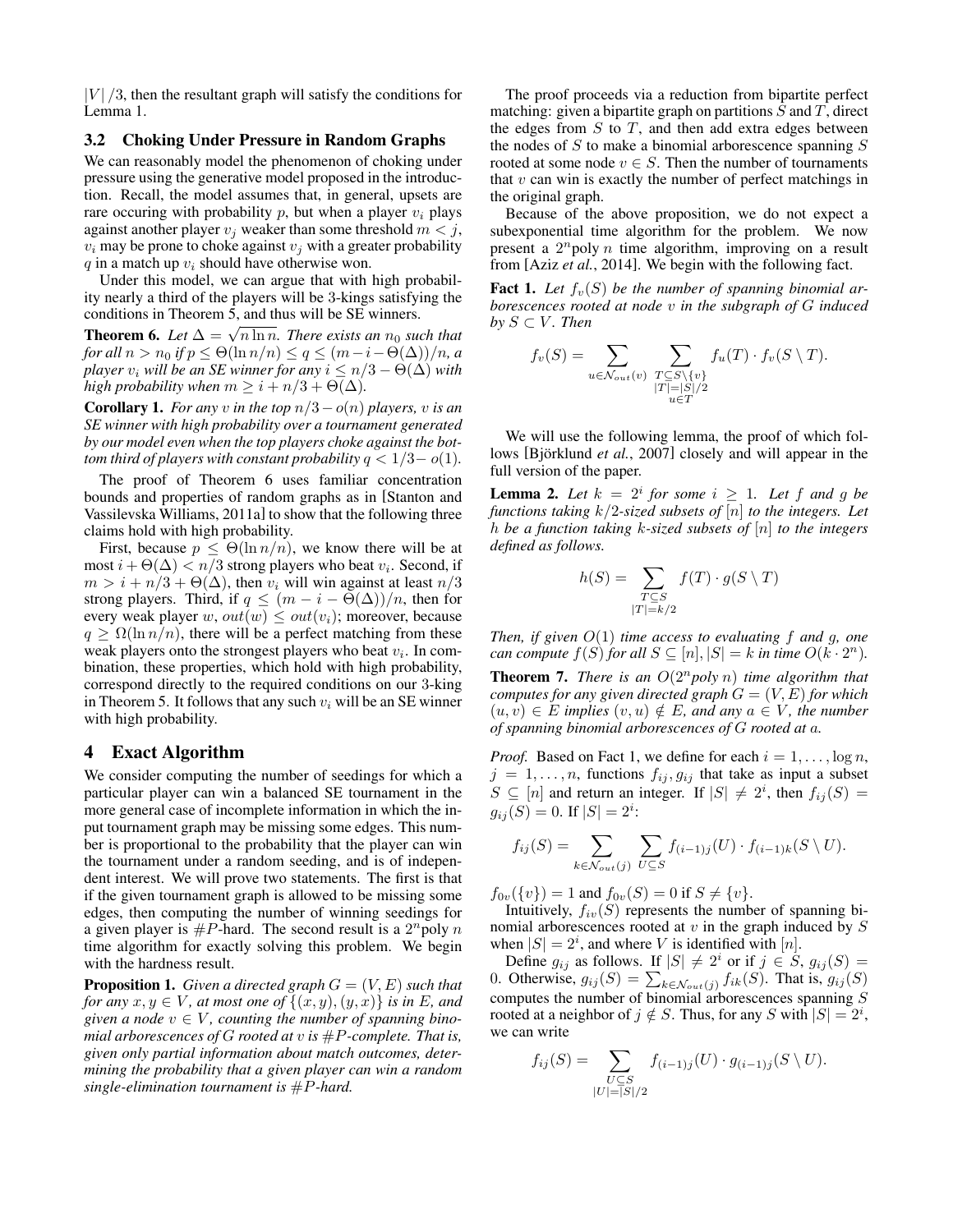$|V|/3$ , then the resultant graph will satisfy the conditions for Lemma 1.

## 3.2 Choking Under Pressure in Random Graphs

We can reasonably model the phenomenon of choking under pressure using the generative model proposed in the introduction. Recall, the model assumes that, in general, upsets are rare occuring with probability  $p$ , but when a player  $v_i$  plays against another player  $v_i$  weaker than some threshold  $m < j$ ,  $v_i$  may be prone to choke against  $v_i$  with a greater probability  $q$  in a match up  $v_i$  should have otherwise won.

Under this model, we can argue that with high probability nearly a third of the players will be 3-kings satisfying the conditions in Theorem 5, and thus will be SE winners.

**Theorem 6.** Let  $\Delta = \sqrt{n \ln n}$ . There exists an  $n_0$  such that *for all*  $n > n_0$  *if*  $p \le \Theta(\ln n/n) \le q \le (m-i-\Theta(\Delta))/n$ *, a player*  $v_i$  *will be an SE winner for any*  $i \leq n/3 - \Theta(\Delta)$  *with high probability when*  $m > i + n/3 + \Theta(\Delta)$ .

**Corollary 1.** *For any v in the top*  $n/3 - o(n)$  *players, v is an SE winner with high probability over a tournament generated by our model even when the top players choke against the bottom third of players with constant probability*  $q < 1/3-o(1)$ *.* 

The proof of Theorem 6 uses familiar concentration bounds and properties of random graphs as in [Stanton and Vassilevska Williams, 2011a] to show that the following three claims hold with high probability.

First, because  $p \leq \Theta(\ln n/n)$ , we know there will be at most  $i + \Theta(\Delta) < n/3$  strong players who beat  $v_i$ . Second, if  $m > i + n/3 + \Theta(\Delta)$ , then  $v_i$  will win against at least  $n/3$ strong players. Third, if  $q \leq (m - i - \Theta(\Delta))/n$ , then for every weak player w,  $out(w) \le out(v_i)$ ; moreover, because  $q \geq \Omega(\ln n/n)$ , there will be a perfect matching from these weak players onto the strongest players who beat  $v_i$ . In combination, these properties, which hold with high probability, correspond directly to the required conditions on our 3-king in Theorem 5. It follows that any such  $v_i$  will be an SE winner with high probability.

# 4 Exact Algorithm

We consider computing the number of seedings for which a particular player can win a balanced SE tournament in the more general case of incomplete information in which the input tournament graph may be missing some edges. This number is proportional to the probability that the player can win the tournament under a random seeding, and is of independent interest. We will prove two statements. The first is that if the given tournament graph is allowed to be missing some edges, then computing the number of winning seedings for a given player is  $#P$ -hard. The second result is a  $2^n$ poly n time algorithm for exactly solving this problem. We begin with the hardness result.

**Proposition 1.** *Given a directed graph*  $G = (V, E)$  *such that for any*  $x, y \in V$ *, at most one of*  $\{(x, y), (y, x)\}\$ *is in E, and* given a node  $v \in V$ , counting the number of spanning bino*mial arborescences of G rooted at v is*  $#P$ *-complete. That is, given only partial information about match outcomes, determining the probability that a given player can win a random single-elimination tournament is* #P*-hard.*

The proof proceeds via a reduction from bipartite perfect matching: given a bipartite graph on partitions  $S$  and  $T$ , direct the edges from  $S$  to  $T$ , and then add extra edges between the nodes of  $S$  to make a binomial arborescence spanning  $S$ rooted at some node  $v \in S$ . Then the number of tournaments that  $v$  can win is exactly the number of perfect matchings in the original graph.

Because of the above proposition, we do not expect a subexponential time algorithm for the problem. We now present a  $2^n$ poly n time algorithm, improving on a result from [Aziz *et al.*, 2014]. We begin with the following fact.

**Fact 1.** Let  $f_v(S)$  be the number of spanning binomial ar*borescences rooted at node* v *in the subgraph of* G *induced by*  $S \subset V$ *. Then* 

$$
f_v(S) = \sum_{u \in \mathcal{N}_{out}(v)} \sum_{\substack{T \subseteq S \setminus \{v\} \\ |T| = |S|/2 \\ u \in T}} f_u(T) \cdot f_v(S \setminus T).
$$

We will use the following lemma, the proof of which follows [Björklund *et al.*, 2007] closely and will appear in the full version of the paper.

**Lemma 2.** Let  $k = 2^i$  for some  $i \ge 1$ . Let f and g be *functions taking* k/2*-sized subsets of* [n] *to the integers. Let* h *be a function taking* k*-sized subsets of* [n] *to the integers defined as follows.*

$$
h(S) = \sum_{\substack{T \subseteq S \\ |T| = k/2}} f(T) \cdot g(S \setminus T)
$$

*Then, if given* O(1) *time access to evaluating* f *and* g*, one can compute*  $f(S)$  *for all*  $S \subseteq [n], |S| = k$  *in time*  $O(k \cdot 2^n)$ *.* 

**Theorem 7.** *There is an*  $O(2^n \text{poly } n)$  *time algorithm that computes for any given directed graph*  $G = (V, E)$  *for which*  $(u, v) \in E$  *implies*  $(v, u) \notin E$ *, and any*  $a \in V$ *, the number of spanning binomial arborescences of* G *rooted at* a*.*

*Proof.* Based on Fact 1, we define for each  $i = 1, \ldots, \log n$ ,  $j = 1, \ldots, n$ , functions  $f_{ij}, g_{ij}$  that take as input a subset  $S \subseteq [n]$  and return an integer. If  $|S| \neq 2^i$ , then  $f_{ij}(S)$  =  $g_{ij}(S) = 0$ . If  $|S| = 2^i$ :

$$
f_{ij}(S) = \sum_{k \in \mathcal{N}_{out}(j)} \sum_{U \subseteq S} f_{(i-1)j}(U) \cdot f_{(i-1)k}(S \setminus U).
$$

 $f_{0v}(\{v\}) = 1$  and  $f_{0v}(S) = 0$  if  $S \neq \{v\}.$ 

Intuitively,  $f_{iv}(S)$  represents the number of spanning binomial arborescences rooted at  $v$  in the graph induced by  $S$ when  $|S| = 2^i$ , and where V is identified with  $[n]$ .

Define  $g_{ij}$  as follows. If  $|S| \neq 2^i$  or if  $j \in S$ ,  $g_{ij}(S) =$ 0. Otherwise,  $g_{ij}(S) = \sum_{k \in \mathcal{N}_{out}(j)} f_{ik}(S)$ . That is,  $g_{ij}(S)$ computes the number of binomial arborescences spanning S rooted at a neighbor of  $j \notin S$ . Thus, for any S with  $|S| = 2^i$ , we can write

$$
f_{ij}(S) = \sum_{\substack{U \subseteq S \\ |U| = |S|/2}} f_{(i-1)j}(U) \cdot g_{(i-1)j}(S \setminus U).
$$